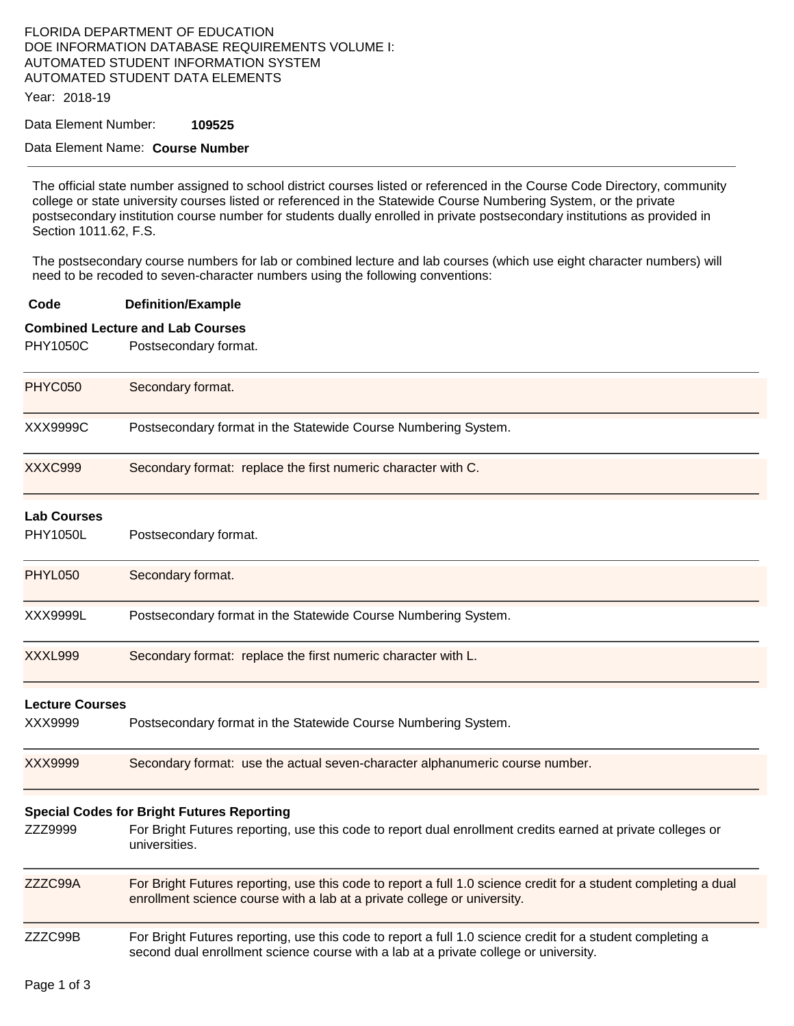## FLORIDA DEPARTMENT OF EDUCATION DOE INFORMATION DATABASE REQUIREMENTS VOLUME I: AUTOMATED STUDENT INFORMATION SYSTEM AUTOMATED STUDENT DATA ELEMENTS

Year: 2018-19

Data Element Number: **109525** 

#### Data Element Name: **Course Number**

The official state number assigned to school district courses listed or referenced in the Course Code Directory, community college or state university courses listed or referenced in the Statewide Course Numbering System, or the private postsecondary institution course number for students dually enrolled in private postsecondary institutions as provided in Section 1011.62, F.S.

The postsecondary course numbers for lab or combined lecture and lab courses (which use eight character numbers) will need to be recoded to seven-character numbers using the following conventions:

#### **Code Definition/Example**

#### **Combined Lecture and Lab Courses**

PHY1050C Postsecondary format.

| Secondary format.                                                                                                                                                                                  |  |
|----------------------------------------------------------------------------------------------------------------------------------------------------------------------------------------------------|--|
| Postsecondary format in the Statewide Course Numbering System.                                                                                                                                     |  |
| Secondary format: replace the first numeric character with C.                                                                                                                                      |  |
| Postsecondary format.                                                                                                                                                                              |  |
| Secondary format.                                                                                                                                                                                  |  |
| Postsecondary format in the Statewide Course Numbering System.                                                                                                                                     |  |
| Secondary format: replace the first numeric character with L.                                                                                                                                      |  |
| <b>Lecture Courses</b>                                                                                                                                                                             |  |
| Postsecondary format in the Statewide Course Numbering System.                                                                                                                                     |  |
| Secondary format: use the actual seven-character alphanumeric course number.                                                                                                                       |  |
| <b>Special Codes for Bright Futures Reporting</b>                                                                                                                                                  |  |
| For Bright Futures reporting, use this code to report dual enrollment credits earned at private colleges or<br>universities.                                                                       |  |
| For Bright Futures reporting, use this code to report a full 1.0 science credit for a student completing a dual<br>enrollment science course with a lab at a private college or university.        |  |
| For Bright Futures reporting, use this code to report a full 1.0 science credit for a student completing a<br>second dual enrollment science course with a lab at a private college or university. |  |
|                                                                                                                                                                                                    |  |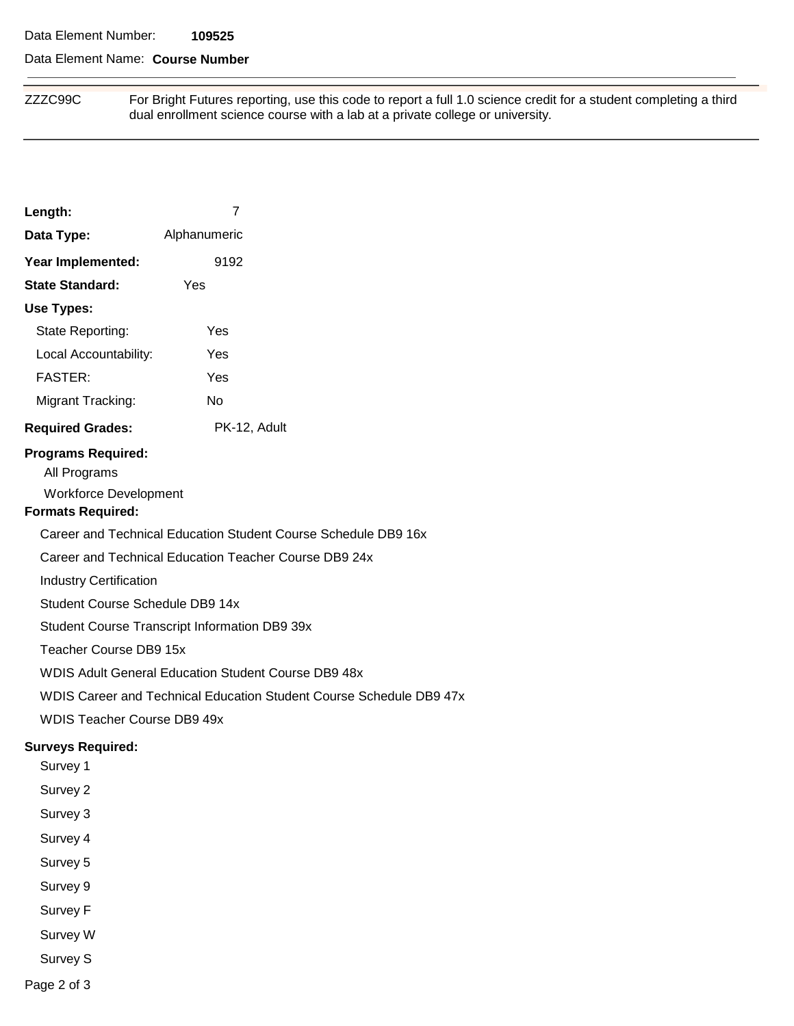#### Data Element Number: **109525**

### Data Element Name: **Course Number**

ZZZC99C For Bright Futures reporting, use this code to report a full 1.0 science credit for a student completing a third dual enrollment science course with a lab at a private college or university.

| Length:                                                                                               | 7                                                              |  |  |
|-------------------------------------------------------------------------------------------------------|----------------------------------------------------------------|--|--|
| Alphanumeric<br>Data Type:                                                                            |                                                                |  |  |
| Year Implemented:                                                                                     | 9192                                                           |  |  |
| <b>State Standard:</b>                                                                                | Yes                                                            |  |  |
| <b>Use Types:</b>                                                                                     |                                                                |  |  |
| State Reporting:                                                                                      | Yes                                                            |  |  |
| Local Accountability:                                                                                 | Yes                                                            |  |  |
| <b>FASTER:</b>                                                                                        | Yes                                                            |  |  |
| Migrant Tracking:                                                                                     | <b>No</b>                                                      |  |  |
| <b>Required Grades:</b>                                                                               | PK-12, Adult                                                   |  |  |
| <b>Programs Required:</b><br>All Programs<br><b>Workforce Development</b><br><b>Formats Required:</b> |                                                                |  |  |
|                                                                                                       | Career and Technical Education Student Course Schedule DB9 16x |  |  |
|                                                                                                       | Career and Technical Education Teacher Course DB9 24x          |  |  |
| <b>Industry Certification</b>                                                                         |                                                                |  |  |
| Student Course Schedule DB9 14x                                                                       |                                                                |  |  |
|                                                                                                       | <b>Student Course Transcript Information DB9 39x</b>           |  |  |
| Teacher Course DB9 15x                                                                                |                                                                |  |  |
|                                                                                                       | <b>WDIS Adult General Education Student Course DB9 48x</b>     |  |  |
| WDIS Career and Technical Education Student Course Schedule DB9 47x                                   |                                                                |  |  |
| <b>WDIS Teacher Course DB9 49x</b>                                                                    |                                                                |  |  |
| <b>Surveys Required:</b><br>Survey 1                                                                  |                                                                |  |  |
| Survey 2                                                                                              |                                                                |  |  |
| Survey 3                                                                                              |                                                                |  |  |
| Survey 4                                                                                              |                                                                |  |  |
| Survey 5                                                                                              |                                                                |  |  |
| Survey 9                                                                                              |                                                                |  |  |
| Survey F                                                                                              |                                                                |  |  |
| Survey W                                                                                              |                                                                |  |  |
| Survey S                                                                                              |                                                                |  |  |

Page 2 of 3